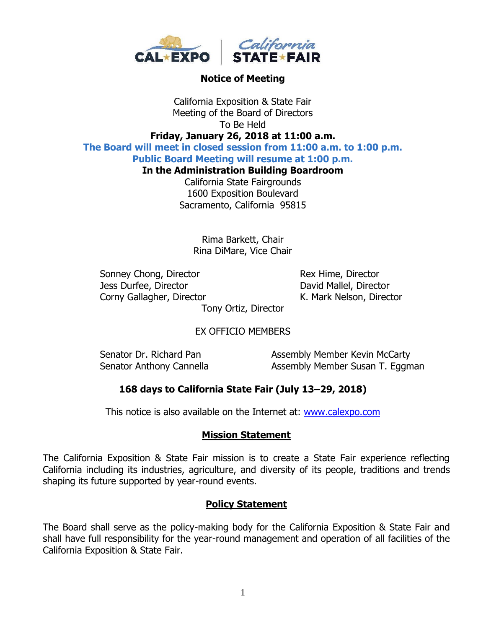

#### **Notice of Meeting**

California Exposition & State Fair Meeting of the Board of Directors To Be Held **Friday, January 26, 2018 at 11:00 a.m.**

**The Board will meet in closed session from 11:00 a.m. to 1:00 p.m.**

**Public Board Meeting will resume at 1:00 p.m.**

**In the Administration Building Boardroom**

California State Fairgrounds 1600 Exposition Boulevard Sacramento, California 95815

> Rima Barkett, Chair Rina DiMare, Vice Chair

Sonney Chong, Director Rex Hime, Director Jess Durfee, Director David Mallel, Director Corny Gallagher, Director **K. Mark Nelson, Director** 

Tony Ortiz, Director

### EX OFFICIO MEMBERS

Senator Dr. Richard Pan Assembly Member Kevin McCarty Senator Anthony Cannella **Assembly Member Susan T. Eggman** 

### **168 days to California State Fair (July 13–29, 2018)**

This notice is also available on the Internet at: [www.calexpo.com](http://www.calexpo.com/)

#### **Mission Statement**

The California Exposition & State Fair mission is to create a State Fair experience reflecting California including its industries, agriculture, and diversity of its people, traditions and trends shaping its future supported by year-round events.

#### **Policy Statement**

The Board shall serve as the policy-making body for the California Exposition & State Fair and shall have full responsibility for the year-round management and operation of all facilities of the California Exposition & State Fair.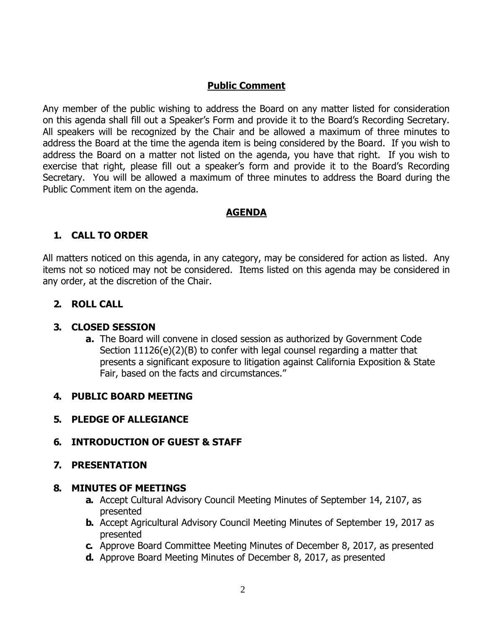## **Public Comment**

Any member of the public wishing to address the Board on any matter listed for consideration on this agenda shall fill out a Speaker's Form and provide it to the Board's Recording Secretary. All speakers will be recognized by the Chair and be allowed a maximum of three minutes to address the Board at the time the agenda item is being considered by the Board. If you wish to address the Board on a matter not listed on the agenda, you have that right. If you wish to exercise that right, please fill out a speaker's form and provide it to the Board's Recording Secretary. You will be allowed a maximum of three minutes to address the Board during the Public Comment item on the agenda.

### **AGENDA**

# **1. CALL TO ORDER**

All matters noticed on this agenda, in any category, may be considered for action as listed. Any items not so noticed may not be considered. Items listed on this agenda may be considered in any order, at the discretion of the Chair.

### **2. ROLL CALL**

### **3. CLOSED SESSION**

**a.** The Board will convene in closed session as authorized by Government Code Section 11126(e)(2)(B) to confer with legal counsel regarding a matter that presents a significant exposure to litigation against California Exposition & State Fair, based on the facts and circumstances."

### **4. PUBLIC BOARD MEETING**

### **5. PLEDGE OF ALLEGIANCE**

# **6. INTRODUCTION OF GUEST & STAFF**

### **7. PRESENTATION**

### **8. MINUTES OF MEETINGS**

- **a.** Accept Cultural Advisory Council Meeting Minutes of September 14, 2107, as presented
- **b.** Accept Agricultural Advisory Council Meeting Minutes of September 19, 2017 as presented
- **c.** Approve Board Committee Meeting Minutes of December 8, 2017, as presented
- **d.** Approve Board Meeting Minutes of December 8, 2017, as presented